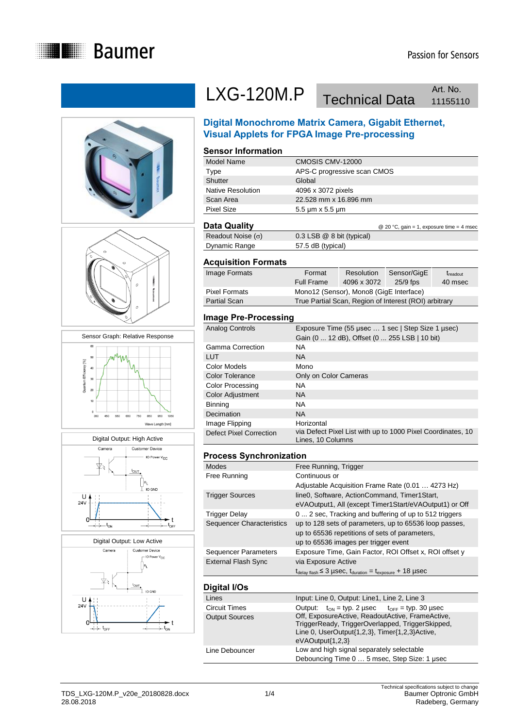











# LXG-120M.P Technical Data Art. No.

Art. No.

### **Digital Monochrome Matrix Camera, Gigabit Ethernet, Visual Applets for FPGA Image Pre-processing**

#### **Sensor Information**

| Data Quality             | @ 20 °C, gain = 1, exposure time = 4 msec |
|--------------------------|-------------------------------------------|
| <b>Pixel Size</b>        | $5.5 \mu m \times 5.5 \mu m$              |
| Scan Area                | 22.528 mm x 16.896 mm                     |
| <b>Native Resolution</b> | 4096 x 3072 pixels                        |
| Shutter                  | Global                                    |
| Type                     | APS-C progressive scan CMOS               |
| Model Name               | CMOSIS CMV-12000                          |

Readout Noise  $(\sigma)$  0.3 LSB @ 8 bit (typical) Dynamic Range 57.5 dB (typical)

#### **Acquisition Formats**

| Image Formats        | Format            | Resolution                                            | Sensor/GigE | $t_{\text{readout}}$ |
|----------------------|-------------------|-------------------------------------------------------|-------------|----------------------|
|                      | <b>Full Frame</b> | 4096 x 3072                                           | $25/9$ fps  | 40 msec              |
| <b>Pixel Formats</b> |                   | Mono12 (Sensor), Mono8 (GigE Interface)               |             |                      |
| <b>Partial Scan</b>  |                   | True Partial Scan, Region of Interest (ROI) arbitrary |             |                      |
|                      |                   |                                                       |             |                      |

#### **Image Pre-Processing**

| Analog Controls         | Exposure Time (55 µsec  1 sec   Step Size 1 µsec)<br>Gain (0  12 dB), Offset (0  255 LSB   10 bit) |
|-------------------------|----------------------------------------------------------------------------------------------------|
| Gamma Correction        | <b>NA</b>                                                                                          |
| LUT                     | <b>NA</b>                                                                                          |
| Color Models            | Mono                                                                                               |
| <b>Color Tolerance</b>  | Only on Color Cameras                                                                              |
| <b>Color Processing</b> | <b>NA</b>                                                                                          |
| Color Adjustment        | <b>NA</b>                                                                                          |
| Binning                 | <b>NA</b>                                                                                          |
| Decimation              | <b>NA</b>                                                                                          |
| Image Flipping          | Horizontal                                                                                         |
| Defect Pixel Correction | via Defect Pixel List with up to 1000 Pixel Coordinates, 10<br>Lines, 10 Columns                   |

#### **Process Synchronization**

| Modes                            | Free Running, Trigger                                                                       |
|----------------------------------|---------------------------------------------------------------------------------------------|
| Free Running                     | Continuous or                                                                               |
|                                  | Adjustable Acquisition Frame Rate (0.01  4273 Hz)                                           |
| <b>Trigger Sources</b>           | line0, Software, ActionCommand, Timer1Start,                                                |
|                                  | eVAOutput1, All (except Timer1Start/eVAOutput1) or Off                                      |
| Trigger Delay                    | 0  2 sec, Tracking and buffering of up to 512 triggers                                      |
| <b>Sequencer Characteristics</b> | up to 128 sets of parameters, up to 65536 loop passes,                                      |
|                                  | up to 65536 repetitions of sets of parameters,                                              |
|                                  | up to 65536 images per trigger event                                                        |
| <b>Sequencer Parameters</b>      | Exposure Time, Gain Factor, ROI Offset x, ROI offset y                                      |
| <b>External Flash Sync</b>       | via Exposure Active                                                                         |
|                                  | $t_{\text{delay flash}} \leq 3$ µSeC, $t_{\text{duration}} = t_{\text{exposure}} + 18$ µSeC |
|                                  |                                                                                             |

#### **Digital I/Os**

| - 900 - 90            |                                                                                                                                                                              |  |
|-----------------------|------------------------------------------------------------------------------------------------------------------------------------------------------------------------------|--|
| Lines                 | Input: Line 0, Output: Line1, Line 2, Line 3                                                                                                                                 |  |
| <b>Circuit Times</b>  | Output: $t_{ON} = typ. 2 \mu sec$ $t_{OFF} = typ. 30 \mu sec$                                                                                                                |  |
| <b>Output Sources</b> | Off, ExposureActive, ReadoutActive, FrameActive,<br>TriggerReady, TriggerOverlapped, TriggerSkipped,<br>Line 0, UserOutput{1,2,3}, Timer{1,2,3}Active,<br>$eVAOutput{1,2,3}$ |  |
| Line Debouncer        | Low and high signal separately selectable<br>Debouncing Time 0  5 msec, Step Size: 1 usec                                                                                    |  |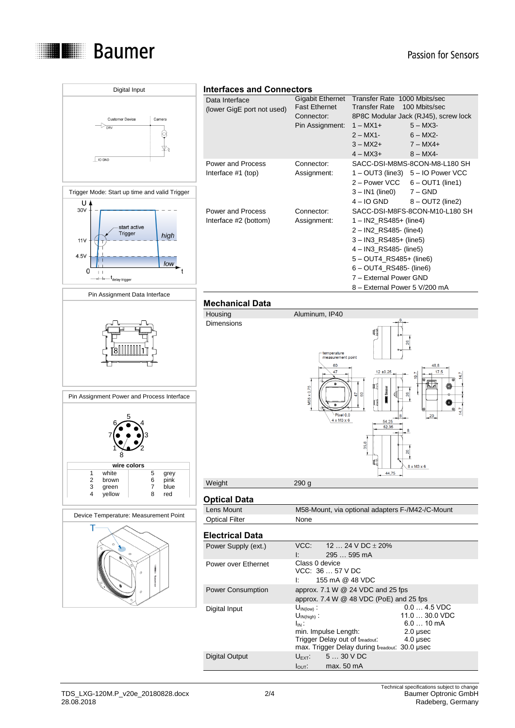



## TDS\_LXG-120M.P\_v20e\_20180828.docx 2/4<br>28.08.2018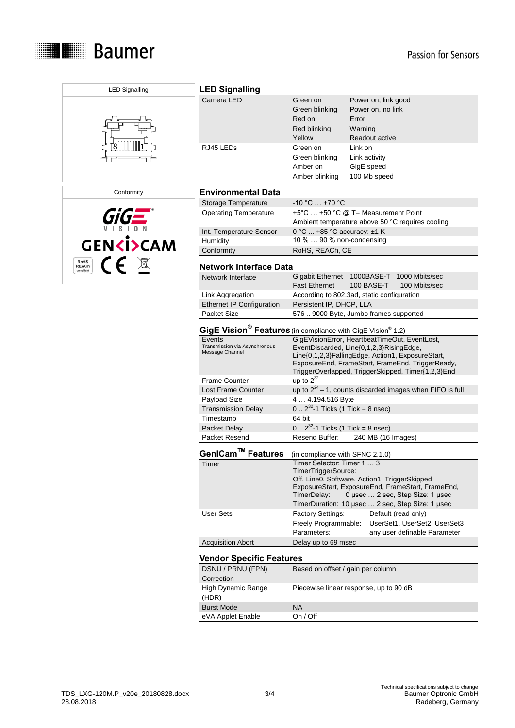





| <b>LED Signalling</b>                                                               |                                                                                         |                                                                                                                                                                                                                                                          |  |
|-------------------------------------------------------------------------------------|-----------------------------------------------------------------------------------------|----------------------------------------------------------------------------------------------------------------------------------------------------------------------------------------------------------------------------------------------------------|--|
| Camera LED                                                                          | Green on<br>Green blinking<br>Red on<br>Red blinking<br>Yellow                          | Power on, link good<br>Power on, no link<br>Error<br>Warning<br>Readout active                                                                                                                                                                           |  |
| RJ45 LEDs                                                                           | Green on<br>Green blinking<br>Amber on<br>Amber blinking                                | Link on<br>Link activity<br>GigE speed<br>100 Mb speed                                                                                                                                                                                                   |  |
| <b>Environmental Data</b>                                                           |                                                                                         |                                                                                                                                                                                                                                                          |  |
| Storage Temperature                                                                 | $-10 °C  +70 °C$                                                                        |                                                                                                                                                                                                                                                          |  |
| <b>Operating Temperature</b>                                                        | +5°C  +50 °C @ T= Measurement Point<br>Ambient temperature above 50 °C requires cooling |                                                                                                                                                                                                                                                          |  |
| Int. Temperature Sensor<br>Humidity                                                 | 0 °C  +85 °C accuracy: ±1 K<br>10 %  90 % non-condensing                                |                                                                                                                                                                                                                                                          |  |
| Conformity                                                                          | RoHS, REACh, CE                                                                         |                                                                                                                                                                                                                                                          |  |
|                                                                                     |                                                                                         |                                                                                                                                                                                                                                                          |  |
| Network Interface Data                                                              |                                                                                         |                                                                                                                                                                                                                                                          |  |
| Network Interface                                                                   | Gigabit Ethernet<br><b>Fast Ethernet</b>                                                | 1000BASE-T 1000 Mbits/sec<br>100 BASE-T<br>100 Mbits/sec                                                                                                                                                                                                 |  |
| Link Aggregation                                                                    |                                                                                         | According to 802.3ad, static configuration                                                                                                                                                                                                               |  |
| <b>Ethernet IP Configuration</b>                                                    | Persistent IP, DHCP, LLA                                                                |                                                                                                                                                                                                                                                          |  |
| Packet Size                                                                         |                                                                                         | 576  9000 Byte, Jumbo frames supported                                                                                                                                                                                                                   |  |
| GigE Vision <sup>®</sup> Features (in compliance with GigE Vision <sup>®</sup> 1.2) |                                                                                         |                                                                                                                                                                                                                                                          |  |
| Events<br>Transmission via Asynchronous<br>Message Channel                          |                                                                                         | GigEVisionError, HeartbeatTimeOut, EventLost,<br>EventDiscarded, Line{0,1,2,3}RisingEdge,<br>Line{0,1,2,3}FallingEdge, Action1, ExposureStart,<br>ExposureEnd, FrameStart, FrameEnd, TriggerReady,<br>TriggerOverlapped, TriggerSkipped, Timer{1,2,3}End |  |
| Frame Counter                                                                       | up to $2^{32}$                                                                          |                                                                                                                                                                                                                                                          |  |
| Lost Frame Counter                                                                  |                                                                                         | up to $2^{24}$ – 1, counts discarded images when FIFO is full                                                                                                                                                                                            |  |
| Payload Size                                                                        | 4  4.194.516 Byte                                                                       |                                                                                                                                                                                                                                                          |  |
| <b>Transmission Delay</b>                                                           | $0.2^{32}$ -1 Ticks (1 Tick = 8 nsec)                                                   |                                                                                                                                                                                                                                                          |  |
| Timestamp<br>Packet Delay                                                           | 64 bit<br>$0.2^{32}$ -1 Ticks (1 Tick = 8 nsec)                                         |                                                                                                                                                                                                                                                          |  |
| Packet Resend                                                                       | Resend Buffer:                                                                          | 240 MB (16 Images)                                                                                                                                                                                                                                       |  |
|                                                                                     |                                                                                         |                                                                                                                                                                                                                                                          |  |
| GenlCam™ Features                                                                   | (in compliance with SFNC 2.1.0)                                                         |                                                                                                                                                                                                                                                          |  |
| Timer                                                                               | Timer Selector: Timer 1  3<br>i imer i riggersource:<br>TimerDelay:                     | Off, Line0, Software, Action1, TriggerSkipped<br>ExposureStart, ExposureEnd, FrameStart, FrameEnd,<br>0 µsec  2 sec, Step Size: 1 µsec<br>TimerDuration: 10 usec  2 sec, Step Size: 1 usec                                                               |  |
| <b>User Sets</b>                                                                    | <b>Factory Settings:</b><br>Freely Programmable:<br>Parameters:                         | Default (read only)<br>UserSet1, UserSet2, UserSet3<br>any user definable Parameter                                                                                                                                                                      |  |
| <b>Acquisition Abort</b>                                                            | Delay up to 69 msec                                                                     |                                                                                                                                                                                                                                                          |  |
| <b>Vendor Specific Features</b>                                                     |                                                                                         |                                                                                                                                                                                                                                                          |  |
| DSNU / PRNU (FPN)                                                                   | Based on offset / gain per column                                                       |                                                                                                                                                                                                                                                          |  |
| Correction<br>High Dynamic Range<br>(HDR)                                           |                                                                                         | Piecewise linear response, up to 90 dB                                                                                                                                                                                                                   |  |
| <b>Burst Mode</b>                                                                   | <b>NA</b>                                                                               |                                                                                                                                                                                                                                                          |  |
| eVA Applet Enable                                                                   | On / Off                                                                                |                                                                                                                                                                                                                                                          |  |